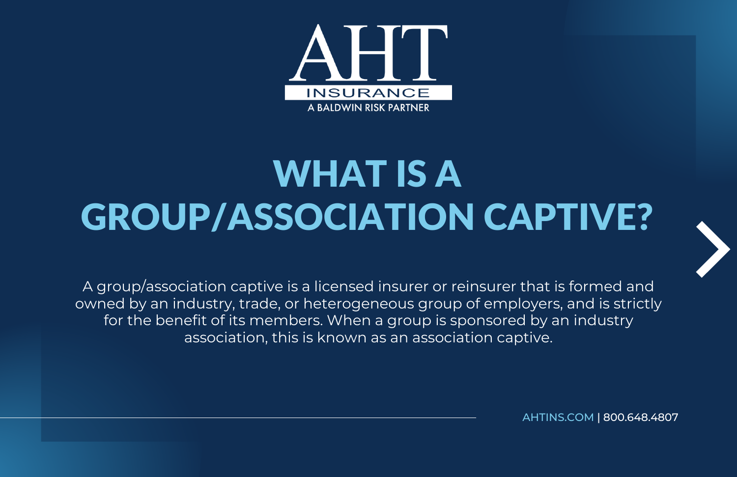

## WHAT IS A GROUP/ASSOCIATION CAPTIVE?



A group/association captive is a licensed insurer or reinsurer that is formed and owned by an industry, trade, or heterogeneous group of employers, and is strictly for the benefit of its members. When a group is sponsored by an industry association, this is known as an association captive.

[AHTINS.COM](https://www.ahtins.com/captive/) | 800.648.4807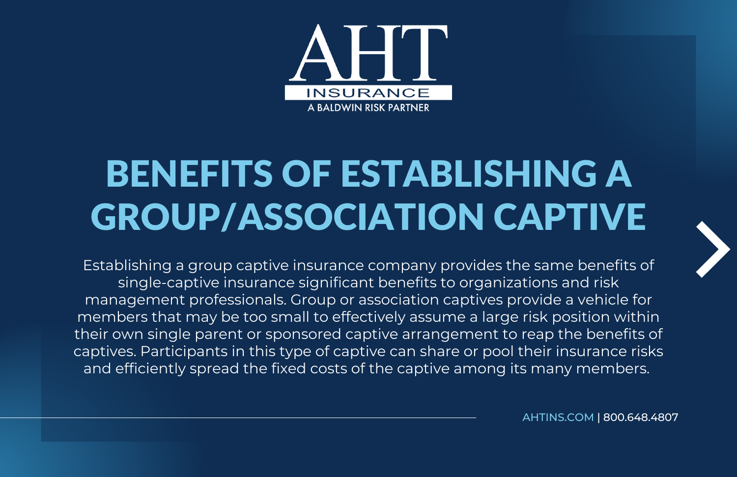

## BENEFITS OF ESTABLISHING A GROUP/ASSOCIATION CAPTIVE

Establishing a group captive insurance company provides the same benefits of single-captive insurance significant benefits to organizations and risk management professionals. Group or association captives provide a vehicle for members that may be too small to effectively assume a large risk position within their own single parent or sponsored captive arrangement to reap the benefits of captives. Participants in this type of captive can share or pool their insurance risks and efficiently spread the fixed costs of the captive among its many members.

[AHTINS.COM](https://www.ahtins.com/captive/) | 800.648.4807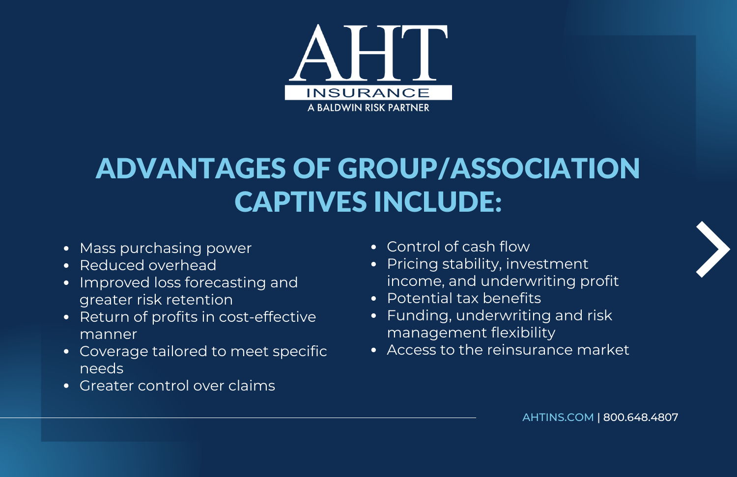

## ADVANTAGES OF GROUP/ASSOCIATION CAPTIVES INCLUDE:

- Mass purchasing power
- Reduced overhead  $\bullet$
- Improved loss forecasting and  $\bullet$ greater risk retention
- Return of profits in cost-effective manner
- Coverage tailored to meet specific needs
- Greater control over claims
- Control of cash flow
- Pricing stability, investment income, and underwriting profit
- Potential tax benefits
- Funding, underwriting and risk management flexibility
- Access to the reinsurance market